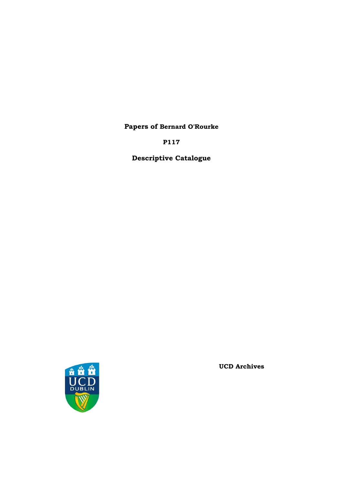**Papers of Bernard O'Rourke**

**P117**

**Descriptive Catalogue**



**UCD Archives**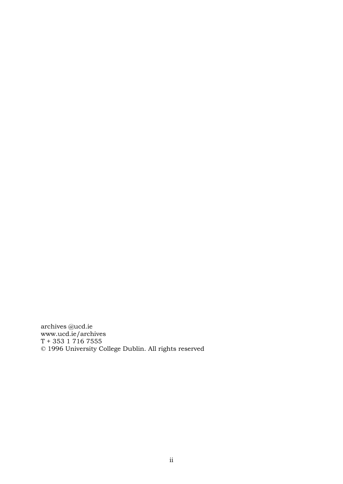archives @ucd.ie [www.ucd.ie/archives](http://www.ucd.ie/archives) T + 353 1 716 7555 © 1996 University College Dublin. All rights reserved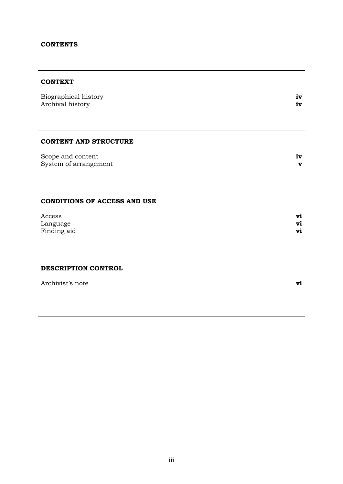### **CONTENTS**

### **CONTEXT**

| Biographical history<br>Archival history   | iv<br>iv |
|--------------------------------------------|----------|
| <b>CONTENT AND STRUCTURE</b>               |          |
| Scope and content<br>System of arrangement | iv<br>v  |
| <b>CONDITIONS OF ACCESS AND USE</b>        |          |
| Access                                     | vi       |
| Language<br>Finding aid                    | vi<br>vi |
|                                            |          |
| DESCRIPTION CONTROL                        |          |
| Archivist's note                           | vi       |
|                                            |          |
|                                            |          |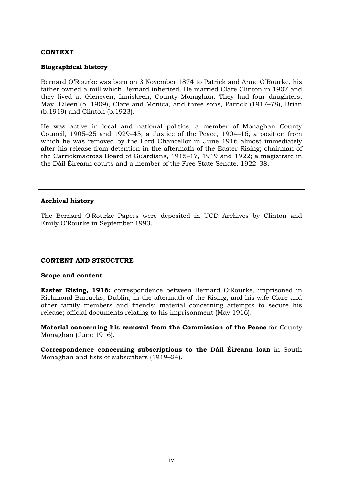### **CONTEXT**

### **Biographical history**

Bernard O'Rourke was born on 3 November 1874 to Patrick and Anne O'Rourke, his father owned a mill which Bernard inherited. He married Clare Clinton in 1907 and they lived at Gleneven, Inniskeen, County Monaghan. They had four daughters, May, Eileen (b. 1909), Clare and Monica, and three sons, Patrick (1917–78), Brian (b.1919) and Clinton (b.1923).

He was active in local and national politics, a member of Monaghan County Council, 1905–25 and 1929–45; a Justice of the Peace, 1904–16, a position from which he was removed by the Lord Chancellor in June 1916 almost immediately after his release from detention in the aftermath of the Easter Rising; chairman of the Carrickmacross Board of Guardians, 1915–17, 1919 and 1922; a magistrate in the Dáil Éireann courts and a member of the Free State Senate, 1922–38.

### **Archival history**

The Bernard O'Rourke Papers were deposited in UCD Archives by Clinton and Emily O'Rourke in September 1993.

#### **CONTENT AND STRUCTURE**

#### **Scope and content**

**Easter Rising, 1916:** correspondence between Bernard O'Rourke, imprisoned in Richmond Barracks, Dublin, in the aftermath of the Rising, and his wife Clare and other family members and friends; material concerning attempts to secure his release; official documents relating to his imprisonment (May 1916).

**Material concerning his removal from the Commission of the Peace** for County Monaghan (June 1916).

**Correspondence concerning subscriptions to the Dáil Éireann loan** in South Monaghan and lists of subscribers (1919–24).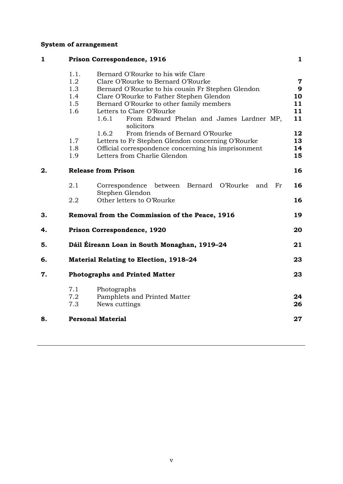# **System of arrangement**

| $\mathbf{1}$ |                            | Prison Correspondence, 1916                                     | $\mathbf{1}$   |
|--------------|----------------------------|-----------------------------------------------------------------|----------------|
|              | 1.1.                       | Bernard O'Rourke to his wife Clare                              |                |
|              | 1.2                        | Clare O'Rourke to Bernard O'Rourke                              | $\overline{7}$ |
|              | 1.3                        | Bernard O'Rourke to his cousin Fr Stephen Glendon               | 9              |
|              | 1.4                        | Clare O'Rourke to Father Stephen Glendon                        | 10             |
|              | 1.5                        | Bernard O'Rourke to other family members                        | 11             |
|              | 1.6                        | Letters to Clare O'Rourke                                       | 11             |
|              |                            | 1.6.1<br>From Edward Phelan and James Lardner MP,<br>solicitors | 11             |
|              |                            | From friends of Bernard O'Rourke<br>1.6.2                       | 12             |
|              | 1.7                        | Letters to Fr Stephen Glendon concerning O'Rourke               | 13             |
|              | 1.8                        | Official correspondence concerning his imprisonment             | 14             |
|              | 1.9                        | Letters from Charlie Glendon                                    | 15             |
| 2.           | <b>Release from Prison</b> |                                                                 | 16             |
|              | 2.1                        | between Bernard O'Rourke<br>Correspondence<br>Fr<br>and         | 16             |
|              | 2.2                        | Stephen Glendon<br>Other letters to O'Rourke                    | 16             |
| 3.           |                            | Removal from the Commission of the Peace, 1916                  | 19             |
| 4.           |                            | Prison Correspondence, 1920                                     | 20             |
| 5.           |                            | Dáil Éireann Loan in South Monaghan, 1919-24                    | 21             |
| 6.           |                            | <b>Material Relating to Election, 1918-24</b>                   | 23             |
| 7.           |                            | <b>Photographs and Printed Matter</b>                           | 23             |
|              | 7.1                        | Photographs                                                     |                |
|              | 7.2                        | Pamphlets and Printed Matter                                    | 24             |
|              | 7.3                        | News cuttings                                                   | 26             |
| 8.           |                            | <b>Personal Material</b>                                        | 27             |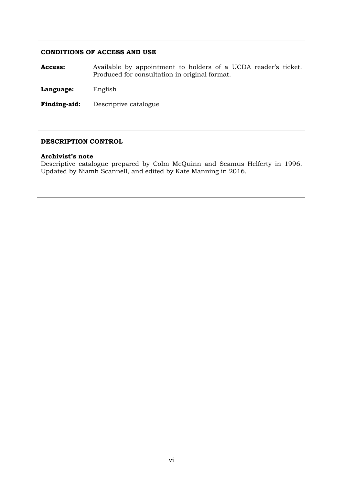### **CONDITIONS OF ACCESS AND USE**

**Access:** Available by appointment to holders of a UCDA reader's ticket. Produced for consultation in original format.

**Language:** English

**Finding-aid:** Descriptive catalogue

#### **DESCRIPTION CONTROL**

#### **Archivist's note**

Descriptive catalogue prepared by Colm McQuinn and Seamus Helferty in 1996. Updated by Niamh Scannell, and edited by Kate Manning in 2016.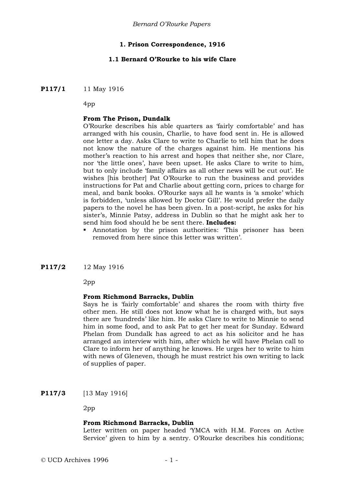### **1. Prison Correspondence, 1916**

#### **1.1 Bernard O'Rourke to his wife Clare**

**P117/1** 11 May 1916

4pp

#### **From The Prison, Dundalk**

O'Rourke describes his able quarters as 'fairly comfortable' and has arranged with his cousin, Charlie, to have food sent in. He is allowed one letter a day. Asks Clare to write to Charlie to tell him that he does not know the nature of the charges against him. He mentions his mother's reaction to his arrest and hopes that neither she, nor Clare, nor 'the little ones', have been upset. He asks Clare to write to him, but to only include 'family affairs as all other news will be cut out'. He wishes [his brother] Pat O'Rourke to run the business and provides instructions for Pat and Charlie about getting corn, prices to charge for meal, and bank books. O'Rourke says all he wants is 'a smoke' which is forbidden, 'unless allowed by Doctor Gill'. He would prefer the daily papers to the novel he has been given. In a post-script, he asks for his sister's, Minnie Patsy, address in Dublin so that he might ask her to send him food should he be sent there. **Includes:**

- Annotation by the prison authorities: 'This prisoner has been removed from here since this letter was written'.
- **P117/2** 12 May 1916

2pp

#### **From Richmond Barracks, Dublin**

Says he is 'fairly comfortable' and shares the room with thirty five other men. He still does not know what he is charged with, but says there are 'hundreds' like him. He asks Clare to write to Minnie to send him in some food, and to ask Pat to get her meat for Sunday. Edward Phelan from Dundalk has agreed to act as his solicitor and he has arranged an interview with him, after which he will have Phelan call to Clare to inform her of anything he knows. He urges her to write to him with news of Gleneven, though he must restrict his own writing to lack of supplies of paper.

**P117/3** [13 May 1916]

2pp

#### **From Richmond Barracks, Dublin**

Letter written on paper headed 'YMCA with H.M. Forces on Active Service' given to him by a sentry. O'Rourke describes his conditions;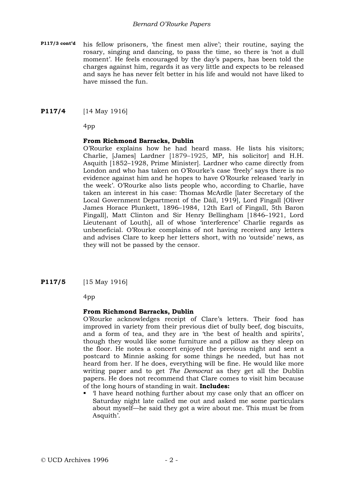**P117/3 cont'd** his fellow prisoners, 'the finest men alive'; their routine, saying the rosary, singing and dancing, to pass the time, so there is 'not a dull moment'. He feels encouraged by the day's papers, has been told the charges against him, regards it as very little and expects to be released and says he has never felt better in his life and would not have liked to have missed the fun.

### **P117/4** [14 May 1916]

4pp

### **From Richmond Barracks, Dublin**

O'Rourke explains how he had heard mass. He lists his visitors; Charlie, [James] Lardner [1879–1925, MP, his solicitor] and H.H. Asquith [1852–1928, Prime Minister]. Lardner who came directly from London and who has taken on O'Rourke's case 'freely' says there is no evidence against him and he hopes to have O'Rourke released 'early in the week'. O'Rourke also lists people who, according to Charlie, have taken an interest in his case: Thomas McArdle [later Secretary of the Local Government Department of the Dáil, 1919], Lord Fingall [Oliver James Horace Plunkett, 1896–1984, 12th Earl of Fingall, 5th Baron Fingall], Matt Clinton and Sir Henry Bellingham [1846–1921, Lord Lieutenant of Louth], all of whose 'interference' Charlie regards as unbeneficial. O'Rourke complains of not having received any letters and advises Clare to keep her letters short, with no 'outside' news, as they will not be passed by the censor.

**P117/5** [15 May 1916]

4pp

### **From Richmond Barracks, Dublin**

O'Rourke acknowledges receipt of Clare's letters. Their food has improved in variety from their previous diet of bully beef, dog biscuits, and a form of tea, and they are in 'the best of health and spirits', though they would like some furniture and a pillow as they sleep on the floor. He notes a concert enjoyed the previous night and sent a postcard to Minnie asking for some things he needed, but has not heard from her. If he does, everything will be fine. He would like more writing paper and to get *The Democrat* as they get all the Dublin papers. He does not recommend that Clare comes to visit him because of the long hours of standing in wait. **Includes:**

 'I have heard nothing further about my case only that an officer on Saturday night late called me out and asked me some particulars about myself—he said they got a wire about me. This must be from Asquith'.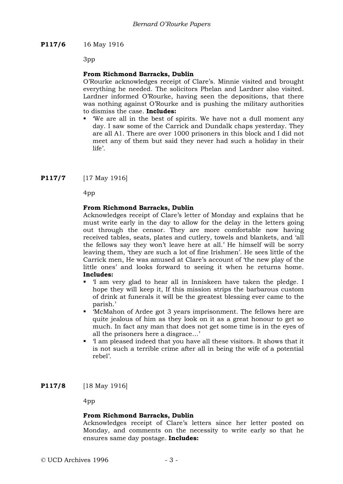**P117/6** 16 May 1916

3pp

### **From Richmond Barracks, Dublin**

O'Rourke acknowledges receipt of Clare's. Minnie visited and brought everything he needed. The solicitors Phelan and Lardner also visited. Lardner informed O'Rourke, having seen the depositions, that there was nothing against O'Rourke and is pushing the military authorities to dismiss the case. **Includes:**

 'We are all in the best of spirits. We have not a dull moment any day. I saw some of the Carrick and Dundalk chaps yesterday. They are all A1. There are over 1000 prisoners in this block and I did not meet any of them but said they never had such a holiday in their life'.

**P117/7** [17 May 1916]

4pp

### **From Richmond Barracks, Dublin**

Acknowledges receipt of Clare's letter of Monday and explains that he must write early in the day to allow for the delay in the letters going out through the censor. They are more comfortable now having received tables, seats, plates and cutlery, towels and blankets, and 'all the fellows say they won't leave here at all.' He himself will be sorry leaving them, 'they are such a lot of fine Irishmen'. He sees little of the Carrick men, He was amused at Clare's account of 'the new play of the little ones' and looks forward to seeing it when he returns home. **Includes:**

- 'I am very glad to hear all in Inniskeen have taken the pledge. I hope they will keep it, If this mission strips the barbarous custom of drink at funerals it will be the greatest blessing ever came to the parish.'
- 'McMahon of Ardee got 3 years imprisonment. The fellows here are quite jealous of him as they look on it as a great honour to get so much. In fact any man that does not get some time is in the eyes of all the prisoners here a disgrace…'
- 'I am pleased indeed that you have all these visitors. It shows that it is not such a terrible crime after all in being the wife of a potential rebel'.

**P117/8** [18 May 1916]

4pp

### **From Richmond Barracks, Dublin**

Acknowledges receipt of Clare's letters since her letter posted on Monday, and comments on the necessity to write early so that he ensures same day postage. **Includes:**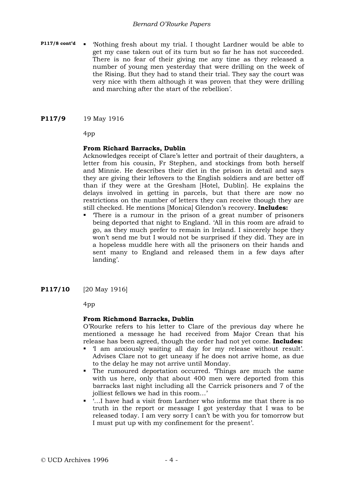#### *Bernard O'Rourke Papers*

- **P117/8 cont'd .** 'Nothing fresh about my trial. I thought Lardner would be able to get my case taken out of its turn but so far he has not succeeded. There is no fear of their giving me any time as they released a number of young men yesterday that were drilling on the week of the Rising. But they had to stand their trial. They say the court was very nice with them although it was proven that they were drilling and marching after the start of the rebellion'.
- **P117/9** 19 May 1916

4pp

### **From Richard Barracks, Dublin**

Acknowledges receipt of Clare's letter and portrait of their daughters, a letter from his cousin, Fr Stephen, and stockings from both herself and Minnie. He describes their diet in the prison in detail and says they are giving their leftovers to the English soldiers and are better off than if they were at the Gresham [Hotel, Dublin]. He explains the delays involved in getting in parcels, but that there are now no restrictions on the number of letters they can receive though they are still checked. He mentions [Monica] Glendon's recovery. **Includes:**

- 'There is a rumour in the prison of a great number of prisoners being deported that night to England. 'All in this room are afraid to go, as they much prefer to remain in Ireland. I sincerely hope they won't send me but I would not be surprised if they did. They are in a hopeless muddle here with all the prisoners on their hands and sent many to England and released them in a few days after landing'.
- **P117/10** [20 May 1916]

4pp

### **From Richmond Barracks, Dublin**

O'Rourke refers to his letter to Clare of the previous day where he mentioned a message he had received from Major Crean that his release has been agreed, though the order had not yet come. **Includes:**

- 'I am anxiously waiting all day for my release without result'. Advises Clare not to get uneasy if he does not arrive home, as due to the delay he may not arrive until Monday.
- The rumoured deportation occurred. 'Things are much the same with us here, only that about 400 men were deported from this barracks last night including all the Carrick prisoners and 7 of the jolliest fellows we had in this room…'
- '…I have had a visit from Lardner who informs me that there is no truth in the report or message I got yesterday that I was to be released today. I am very sorry I can't be with you for tomorrow but I must put up with my confinement for the present'.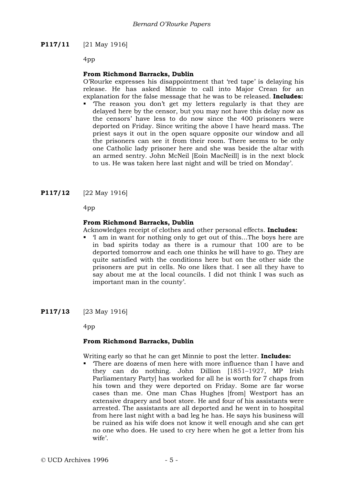### **P117/11** [21 May 1916]

4pp

### **From Richmond Barracks, Dublin**

O'Rourke expresses his disappointment that 'red tape' is delaying his release. He has asked Minnie to call into Major Crean for an explanation for the false message that he was to be released. **Includes:**

 'The reason you don't get my letters regularly is that they are delayed here by the censor, but you may not have this delay now as the censors' have less to do now since the 400 prisoners were deported on Friday. Since writing the above I have heard mass. The priest says it out in the open square opposite our window and all the prisoners can see it from their room. There seems to be only one Catholic lady prisoner here and she was beside the altar with an armed sentry. John McNeil [Eoin MacNeill] is in the next block to us. He was taken here last night and will be tried on Monday'.

**P117/12** [22 May 1916]

4pp

### **From Richmond Barracks, Dublin**

Acknowledges receipt of clothes and other personal effects. **Includes:**

- 'I am in want for nothing only to get out of this…The boys here are in bad spirits today as there is a rumour that 100 are to be deported tomorrow and each one thinks he will have to go. They are quite satisfied with the conditions here but on the other side the prisoners are put in cells. No one likes that. I see all they have to say about me at the local councils. I did not think I was such as important man in the county'.
- **P117/13** [23 May 1916]

4pp

#### **From Richmond Barracks, Dublin**

Writing early so that he can get Minnie to post the letter. **Includes:**

 'There are dozens of men here with more influence than I have and they can do nothing. John Dillion [1851–1927, MP Irish Parliamentary Party] has worked for all he is worth for 7 chaps from his town and they were deported on Friday. Some are far worse cases than me. One man Chas Hughes [from] Westport has an extensive drapery and boot store. He and four of his assistants were arrested. The assistants are all deported and he went in to hospital from here last night with a bad leg he has. He says his business will be ruined as his wife does not know it well enough and she can get no one who does. He used to cry here when he got a letter from his wife'.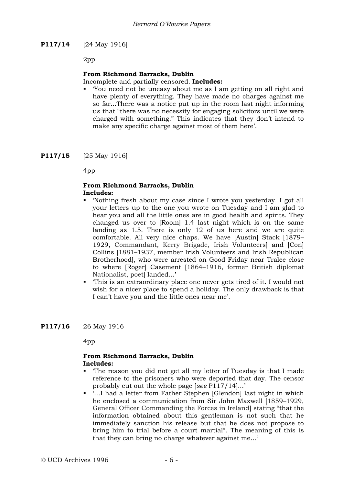**P117/14** [24 May 1916]

2pp

### **From Richmond Barracks, Dublin**

Incomplete and partially censored. **Includes:**

 'You need not be uneasy about me as I am getting on all right and have plenty of everything. They have made no charges against me so far...There was a notice put up in the room last night informing us that "there was no necessity for engaging solicitors until we were charged with something." This indicates that they don't intend to make any specific charge against most of them here'.

**P117/15** [25 May 1916]

4pp

#### **From Richmond Barracks, Dublin Includes:**

- 'Nothing fresh about my case since I wrote you yesterday. I got all your letters up to the one you wrote on Tuesday and I am glad to hear you and all the little ones are in good health and spirits. They changed us over to [Room] 1.4 last night which is on the same landing as 1.5. There is only 12 of us here and we are quite comfortable. All very nice chaps. We have [Austin] Stack [1879– 1929, Commandant, Kerry Brigade, Irish Volunteers] and [Con] Collins [1881–1937, member Irish Volunteers and Irish Republican Brotherhood], who were arrested on Good Friday near Tralee close to where [Roger] Casement [1864–1916, former British diplomat Nationalist, poet landed...'
- 'This is an extraordinary place one never gets tired of it. I would not wish for a nicer place to spend a holiday. The only drawback is that I can't have you and the little ones near me'.

**P117/16** 26 May 1916

4pp

### **From Richmond Barracks, Dublin Includes:**

- 'The reason you did not get all my letter of Tuesday is that I made reference to the prisoners who were deported that day. The censor probably cut out the whole page [*see* P117/14]...'
- …I had a letter from Father Stephen [Glendon] last night in which he enclosed a communication from Sir John Maxwell [1859–1929, General Officer Commanding the Forces in Ireland] stating "that the information obtained about this gentleman is not such that he immediately sanction his release but that he does not propose to bring him to trial before a court martial". The meaning of this is that they can bring no charge whatever against me…'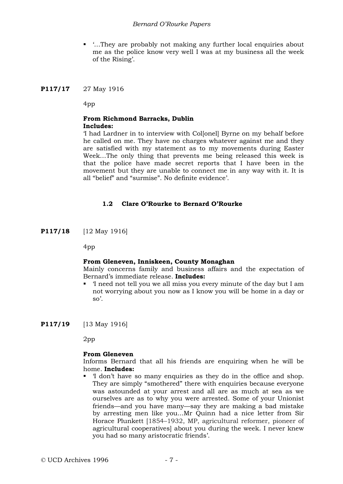#### *Bernard O'Rourke Papers*

■ '...They are probably not making any further local enquiries about me as the police know very well I was at my business all the week of the Rising'.

### **P117/17** 27 May 1916

4pp

#### **From Richmond Barracks, Dublin Includes:**

'I had Lardner in to interview with Col[onel] Byrne on my behalf before he called on me. They have no charges whatever against me and they are satisfied with my statement as to my movements during Easter Week…The only thing that prevents me being released this week is that the police have made secret reports that I have been in the movement but they are unable to connect me in any way with it. It is all "belief" and "surmise". No definite evidence'.

### **1.2 Clare O'Rourke to Bernard O'Rourke**

**P117/18** [12 May 1916]

4pp

#### **From Gleneven, Inniskeen, County Monaghan**

Mainly concerns family and business affairs and the expectation of Bernard's immediate release. **Includes:**

 'I need not tell you we all miss you every minute of the day but I am not worrying about you now as I know you will be home in a day or so'.

**P117/19** [13 May 1916]

2pp

#### **From Gleneven**

Informs Bernard that all his friends are enquiring when he will be home. **Includes:**

 'I don't have so many enquiries as they do in the office and shop. They are simply "smothered" there with enquiries because everyone was astounded at your arrest and all are as much at sea as we ourselves are as to why you were arrested. Some of your Unionist friends—and you have many—say they are making a bad mistake by arresting men like you...Mr Quinn had a nice letter from Sir Horace Plunkett [1854–1932, MP, agricultural reformer, pioneer of agricultural cooperatives] about you during the week. I never knew you had so many aristocratic friends'.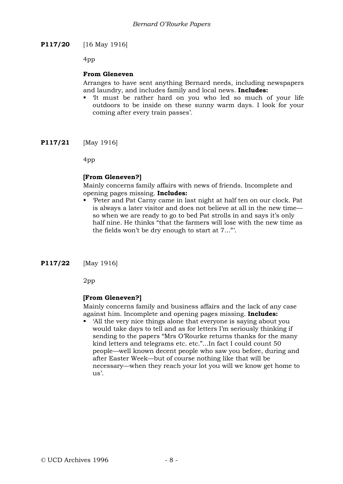**P117/20** [16 May 1916]

4pp

### **From Gleneven**

Arranges to have sent anything Bernard needs, including newspapers and laundry, and includes family and local news. **Includes:**

- 'It must be rather hard on you who led so much of your life outdoors to be inside on these sunny warm days. I look for your coming after every train passes'.
- **P117/21** [May 1916]

4pp

### **[From Gleneven?]**

Mainly concerns family affairs with news of friends. Incomplete and opening pages missing. **Includes:**

 'Peter and Pat Carny came in last night at half ten on our clock. Pat is always a later visitor and does not believe at all in the new time so when we are ready to go to bed Pat strolls in and says it's only half nine. He thinks "that the farmers will lose with the new time as the fields won't be dry enough to start at 7..."'.

**P117/22** [May 1916]

2pp

### **[From Gleneven?]**

Mainly concerns family and business affairs and the lack of any case against him. Incomplete and opening pages missing. **Includes:**

 'All the very nice things alone that everyone is saying about you would take days to tell and as for letters I'm seriously thinking if sending to the papers "Mrs O'Rourke returns thanks for the many kind letters and telegrams etc. etc."...In fact I could count 50 people—well known decent people who saw you before, during and after Easter Week—but of course nothing like that will be necessary—when they reach your lot you will we know get home to us'.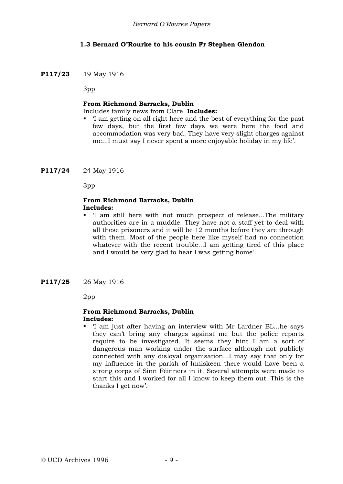## **1.3 Bernard O'Rourke to his cousin Fr Stephen Glendon**

### **P117/23** 19 May 1916

3pp

#### **From Richmond Barracks, Dublin**

Includes family news from Clare. **Includes:**

 'I am getting on all right here and the best of everything for the past few days, but the first few days we were here the food and accommodation was very bad. They have very slight charges against me...I must say I never spent a more enjoyable holiday in my life'.

**P117/24** 24 May 1916

3pp

### **From Richmond Barracks, Dublin Includes:**

- 'I am still here with not much prospect of release...The military authorities are in a muddle. They have not a staff yet to deal with all these prisoners and it will be 12 months before they are through with them. Most of the people here like myself had no connection whatever with the recent trouble...I am getting tired of this place and I would be very glad to hear I was getting home'.
- **P117/25** 26 May 1916

2pp

#### **From Richmond Barracks, Dublin Includes:**

 'I am just after having an interview with Mr Lardner BL...he says they can't bring any charges against me but the police reports require to be investigated. It seems they hint I am a sort of dangerous man working under the surface although not publicly connected with any disloyal organisation...I may say that only for my influence in the parish of Inniskeen there would have been a strong corps of Sinn Féinners in it. Several attempts were made to start this and I worked for all I know to keep them out. This is the thanks I get now'.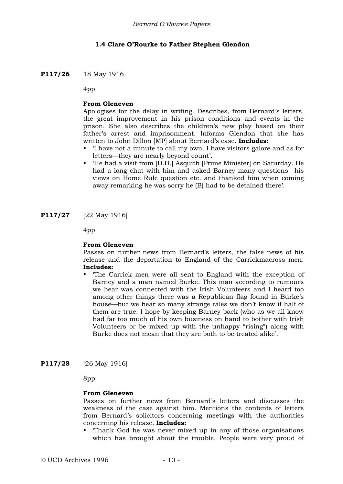### **1.4 Clare O'Rourke to Father Stephen Glendon**

### **P117/26** 18 May 1916

4pp

### **From Gleneven**

Apologises for the delay in writing. Describes, from Bernard's letters, the great improvement in his prison conditions and events in the prison. She also describes the children's new play based on their father's arrest and imprisonment. Informs Glendon that she has written to John Dillon [MP] about Bernard's case. **Includes:**

- 'I have not a minute to call my own. I have visitors galore and as for letters—they are nearly beyond count'.
- 'He had a visit from [H.H.] Asquith [Prime Minister] on Saturday. He had a long chat with him and asked Barney many questions—his views on Home Rule question etc. and thanked him when coming away remarking he was sorry he (B) had to be detained there'.
- **P117/27** [22 May 1916]

4pp

#### **From Gleneven**

Passes on further news from Bernard's letters, the false news of his release and the deportation to England of the Carrickmacross men. **Includes:**

- 'The Carrick men were all sent to England with the exception of Barney and a man named Burke. This man according to rumours we hear was connected with the Irish Volunteers and I heard too among other things there was a Republican flag found in Burke's house—but we hear so many strange tales we don't know if half of them are true. I hope by keeping Barney back (who as we all know had far too much of his own business on hand to bother with Irish Volunteers or be mixed up with the unhappy "rising") along with Burke does not mean that they are both to be treated alike'.
- **P117/28** [26 May 1916]

8pp

#### **From Gleneven**

Passes on further news from Bernard's letters and discusses the weakness of the case against him. Mentions the contents of letters from Bernard's solicitors concerning meetings with the authorities concerning his release. **Includes:**

 'Thank God he was never mixed up in any of those organisations which has brought about the trouble. People were very proud of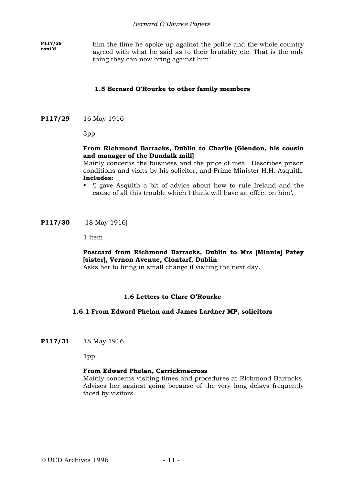**P117/28** him the time he spoke up against the police and the whole country agreed with what he said as to their brutality etc. That is the only thing they can now bring against him'.

### **1.5 Bernard O'Rourke to other family members**

#### **P117/29** 16 May 1916

3pp

### **From Richmond Barracks, Dublin to Charlie [Glendon, his cousin and manager of the Dundalk mill]**

Mainly concerns the business and the price of meal. Describes prison conditions and visits by his solicitor, and Prime Minister H.H. Asquith. **Includes:**

 'I gave Asquith a bit of advice about how to rule Ireland and the cause of all this trouble which I think will have an effect on him'.

**P117/30** [18 May 1916]

1 item

#### **Postcard from Richmond Barracks, Dublin to Mrs [Minnie] Patey [sister], Vernon Avenue, Clontarf, Dublin**

Asks her to bring in small change if visiting the next day.

#### **1.6 Letters to Clare O'Rourke**

#### **1.6.1 From Edward Phelan and James Lardner MP, solicitors**

**P117/31** 18 May 1916

1pp

#### **From Edward Phelan, Carrickmacross**

Mainly concerns visiting times and procedures at Richmond Barracks. Advises her against going because of the very long delays frequently faced by visitors.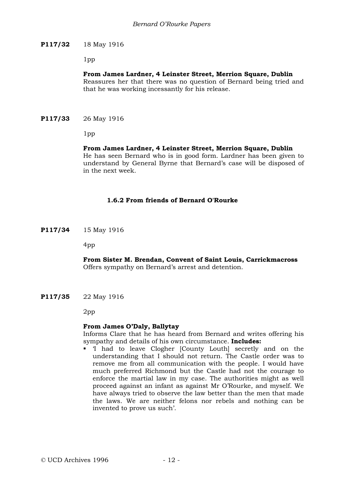### **P117/32** 18 May 1916

1pp

### **From James Lardner, 4 Leinster Street, Merrion Square, Dublin**

Reassures her that there was no question of Bernard being tried and that he was working incessantly for his release.

**P117/33** 26 May 1916

1pp

### **From James Lardner, 4 Leinster Street, Merrion Square, Dublin**

He has seen Bernard who is in good form. Lardner has been given to understand by General Byrne that Bernard's case will be disposed of in the next week.

### **1.6.2 From friends of Bernard O'Rourke**

**P117/34** 15 May 1916

4pp

### **From Sister M. Brendan, Convent of Saint Louis, Carrickmacross** Offers sympathy on Bernard's arrest and detention.

**P117/35** 22 May 1916

2pp

### **From James O'Daly, Ballytay**

Informs Clare that he has heard from Bernard and writes offering his sympathy and details of his own circumstance. **Includes:**

 'I had to leave Clogher [County Louth] secretly and on the understanding that I should not return. The Castle order was to remove me from all communication with the people. I would have much preferred Richmond but the Castle had not the courage to enforce the martial law in my case. The authorities might as well proceed against an infant as against Mr O'Rourke, and myself. We have always tried to observe the law better than the men that made the laws. We are neither felons nor rebels and nothing can be invented to prove us such'.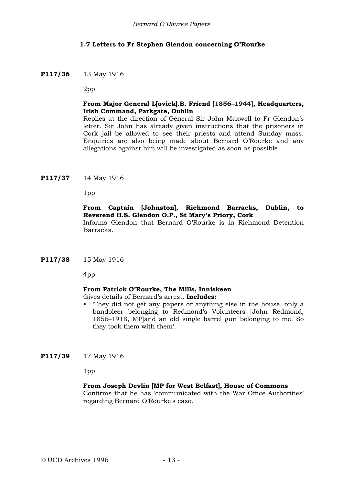### **1.7 Letters to Fr Stephen Glendon concerning O'Rourke**

#### **P117/36** 13 May 1916

2pp

### **From Major General L[ovick].B. Friend [1856–1944], Headquarters, Irish Command, Parkgate, Dublin**

Replies at the direction of General Sir John Maxwell to Fr Glendon's letter. Sir John has already given instructions that the prisoners in Cork jail be allowed to see their priests and attend Sunday mass. Enquiries are also being made about Bernard O'Rourke and any allegations against him will be investigated as soon as possible.

### **P117/37** 14 May 1916

1pp

#### **From Captain [Johnston], Richmond Barracks, Dublin, to Reverend H.S. Glendon O.P., St Mary's Priory, Cork**

Informs Glendon that Bernard O'Rourke is in Richmond Detention Barracks.

#### **P117/38** 15 May 1916

4pp

#### **From Patrick O'Rourke, The Mills, Inniskeen**

Gives details of Bernard's arrest. **Includes:**

 'They did not get any papers or anything else in the house, only a bandoleer belonging to Redmond's Volunteers [John Redmond, 1856–1918, MP]and an old single barrel gun belonging to me. So they took them with them'.

#### **P117/39** 17 May 1916

1pp

#### **From Joseph Devlin [MP for West Belfast], House of Commons**

Confirms that he has 'communicated with the War Office Authorities' regarding Bernard O'Rourke's case.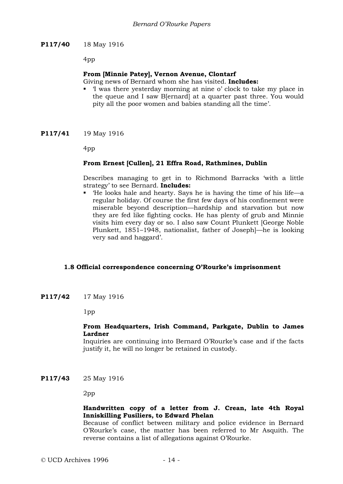### **P117/40** 18 May 1916

4pp

### **From [Minnie Patey], Vernon Avenue, Clontarf**

Giving news of Bernard whom she has visited. **Includes:**

- 'I was there yesterday morning at nine o' clock to take my place in the queue and I saw B[ernard] at a quarter past three. You would pity all the poor women and babies standing all the time'.
- **P117/41** 19 May 1916

4pp

### **From Ernest [Cullen], 21 Effra Road, Rathmines, Dublin**

Describes managing to get in to Richmond Barracks 'with a little strategy' to see Bernard. **Includes:**

 'He looks hale and hearty. Says he is having the time of his life—a regular holiday. Of course the first few days of his confinement were miserable beyond description—hardship and starvation but now they are fed like fighting cocks. He has plenty of grub and Minnie visits him every day or so. I also saw Count Plunkett [George Noble Plunkett, 1851–1948, nationalist, father of Joseph]—he is looking very sad and haggard'.

#### **1.8 Official correspondence concerning O'Rourke's imprisonment**

**P117/42** 17 May 1916

1pp

#### **From Headquarters, Irish Command, Parkgate, Dublin to James Lardner**

Inquiries are continuing into Bernard O'Rourke's case and if the facts justify it, he will no longer be retained in custody.

**P117/43** 25 May 1916

2pp

### **Handwritten copy of a letter from J. Crean, late 4th Royal Inniskilling Fusiliers, to Edward Phelan**

Because of conflict between military and police evidence in Bernard O'Rourke's case, the matter has been referred to Mr Asquith. The reverse contains a list of allegations against O'Rourke.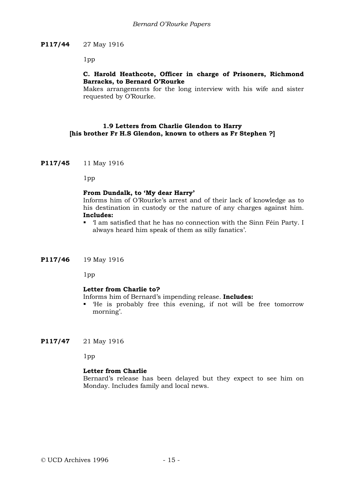### **P117/44** 27 May 1916

1pp

### **C. Harold Heathcote, Officer in charge of Prisoners, Richmond Barracks, to Bernard O'Rourke**

Makes arrangements for the long interview with his wife and sister requested by O'Rourke.

### **1.9 Letters from Charlie Glendon to Harry [his brother Fr H.S Glendon, known to others as Fr Stephen ?]**

**P117/45** 11 May 1916

1pp

### **From Dundalk, to 'My dear Harry'**

Informs him of O'Rourke's arrest and of their lack of knowledge as to his destination in custody or the nature of any charges against him. **Includes:**

 'I am satisfied that he has no connection with the Sinn Féin Party. I always heard him speak of them as silly fanatics'.

#### **P117/46** 19 May 1916

1pp

#### **Letter from Charlie to?**

Informs him of Bernard's impending release. **Includes:**

- 'He is probably free this evening, if not will be free tomorrow morning'.
- **P117/47** 21 May 1916

1pp

#### **Letter from Charlie**

Bernard's release has been delayed but they expect to see him on Monday. Includes family and local news.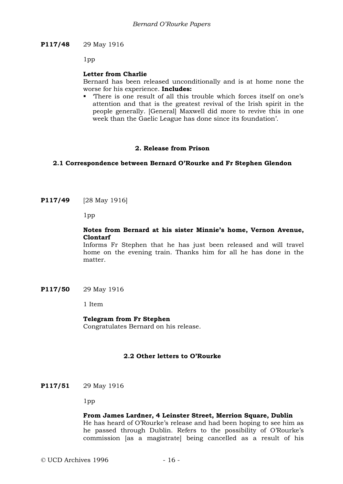### **P117/48** 29 May 1916

1pp

#### **Letter from Charlie**

Bernard has been released unconditionally and is at home none the worse for his experience. **Includes:**

 'There is one result of all this trouble which forces itself on one's attention and that is the greatest revival of the Irish spirit in the people generally. [General] Maxwell did more to revive this in one week than the Gaelic League has done since its foundation'.

### **2. Release from Prison**

### **2.1 Correspondence between Bernard O'Rourke and Fr Stephen Glendon**

**P117/49** [28 May 1916]

1pp

### **Notes from Bernard at his sister Minnie's home, Vernon Avenue, Clontarf**

Informs Fr Stephen that he has just been released and will travel home on the evening train. Thanks him for all he has done in the matter.

**P117/50** 29 May 1916

1 Item

#### **Telegram from Fr Stephen**

Congratulates Bernard on his release.

#### **2.2 Other letters to O'Rourke**

**P117/51** 29 May 1916

1pp

#### **From James Lardner, 4 Leinster Street, Merrion Square, Dublin**

He has heard of O'Rourke's release and had been hoping to see him as he passed through Dublin. Refers to the possibility of O'Rourke's commission [as a magistrate] being cancelled as a result of his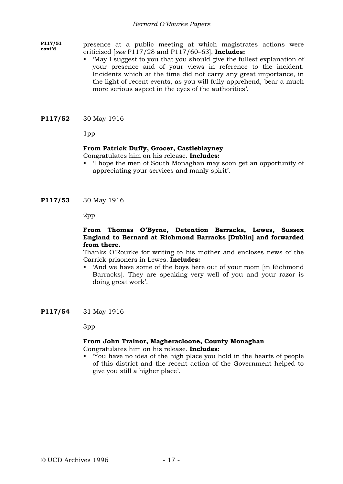### *Bernard O'Rourke Papers*

**P117/51**  presence at a public meeting at which magistrates actions were criticised [*see* P117/28 and P117/60–63]. **Includes:**

- 'May I suggest to you that you should give the fullest explanation of your presence and of your views in reference to the incident. Incidents which at the time did not carry any great importance, in the light of recent events, as you will fully apprehend, bear a much more serious aspect in the eyes of the authorities'.
- **P117/52** 30 May 1916

1pp

### **From Patrick Duffy, Grocer, Castleblayney**

Congratulates him on his release. **Includes:**

 'I hope the men of South Monaghan may soon get an opportunity of appreciating your services and manly spirit'.

**P117/53** 30 May 1916

2pp

### **From Thomas O'Byrne, Detention Barracks, Lewes, Sussex England to Bernard at Richmond Barracks [Dublin] and forwarded from there.**

Thanks O'Rourke for writing to his mother and encloses news of the Carrick prisoners in Lewes. **Includes:**

- 'And we have some of the boys here out of your room [in Richmond Barracks]. They are speaking very well of you and your razor is doing great work'.
- **P117/54** 31 May 1916

3pp

### **From John Trainor, Magheracloone, County Monaghan**

Congratulates him on his release. **Includes:**

 'You have no idea of the high place you hold in the hearts of people of this district and the recent action of the Government helped to give you still a higher place'.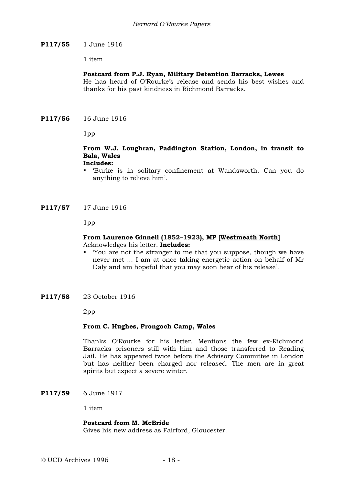### **P117/55** 1 June 1916

1 item

### **Postcard from P.J. Ryan, Military Detention Barracks, Lewes**

He has heard of O'Rourke's release and sends his best wishes and thanks for his past kindness in Richmond Barracks.

**P117/56** 16 June 1916

1pp

#### **From W.J. Loughran, Paddington Station, London, in transit to Bala, Wales Includes:**

- 'Burke is in solitary confinement at Wandsworth. Can you do anything to relieve him'.
- **P117/57** 17 June 1916

1pp

### **From Laurence Ginnell (1852–1923), MP [Westmeath North]** Acknowledges his letter. **Includes:**

- 'You are not the stranger to me that you suppose, though we have never met ... I am at once taking energetic action on behalf of Mr Daly and am hopeful that you may soon hear of his release'.
- **P117/58** 23 October 1916

2pp

#### **From C. Hughes, Frongoch Camp, Wales**

Thanks O'Rourke for his letter. Mentions the few ex-Richmond Barracks prisoners still with him and those transferred to Reading Jail. He has appeared twice before the Advisory Committee in London but has neither been charged nor released. The men are in great spirits but expect a severe winter.

**P117/59** 6 June 1917

1 item

#### **Postcard from M. McBride**

Gives his new address as Fairford, Gloucester.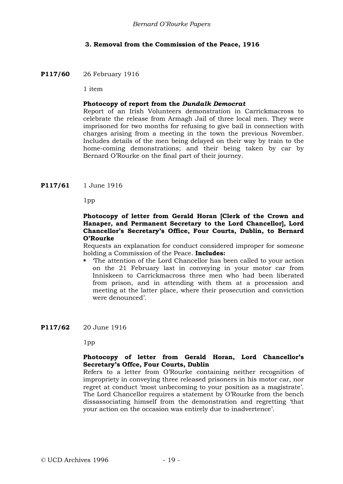### **3. Removal from the Commission of the Peace, 1916**

### **P117/60** 26 February 1916

1 item

### **Photocopy of report from the** *Dundalk Democrat*

Report of an Irish Volunteers demonstration in Carrickmacross to celebrate the release from Armagh Jail of three local men. They were imprisoned for two months for refusing to give bail in connection with charges arising from a meeting in the town the previous November. Includes details of the men being delayed on their way by train to the home-coming demonstrations; and their being taken by car by Bernard O'Rourke on the final part of their journey.

**P117/61** 1 June 1916

1pp

### **Photocopy of letter from Gerald Horan [Clerk of the Crown and Hanaper, and Permanent Secretary to the Lord Chancellor], Lord Chancellor's Secretary's Office, Four Courts, Dublin, to Bernard O'Rourke**

Requests an explanation for conduct considered improper for someone holding a Commission of the Peace. **Includes:**

 'The attention of the Lord Chancellor has been called to your action on the 21 February last in conveying in your motor car from Inniskeen to Carrickmacross three men who had been liberated from prison, and in attending with them at a procession and meeting at the latter place, where their prosecution and conviction were denounced'.

### **P117/62** 20 June 1916

1pp

### **Photocopy of letter from Gerald Horan, Lord Chancellor's Secretary's Offce, Four Courts, Dublin**

Refers to a letter from O'Rourke containing neither recognition of impropriety in conveying three released prisoners in his motor car, nor regret at conduct 'most unbecoming to your position as a magistrate'. The Lord Chancellor requires a statement by O'Rourke from the bench dissassociating himself from the demonstration and regretting 'that your action on the occasion was entirely due to inadvertence'.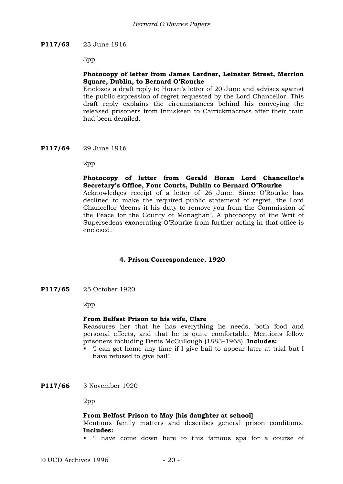### **P117/63** 23 June 1916

3pp

### **Photocopy of letter from James Lardner, Leinster Street, Merrion Square, Dublin, to Bernard O'Rourke**

Encloses a draft reply to Horan's letter of 20 June and advises against the public expression of regret requested by the Lord Chancellor. This draft reply explains the circumstances behind his conveying the released prisoners from Inniskeen to Carrickmacross after their train had been derailed.

**P117/64** 29 June 1916

2pp

### **Photocopy of letter from Gerald Horan Lord Chancellor's Secretary's Office, Four Courts, Dublin to Bernard O'Rourke**

Acknowledges receipt of a letter of 26 June. Since O'Rourke has declined to make the required public statement of regret, the Lord Chancellor 'deems it his duty to remove you from the Commission of the Peace for the County of Monaghan'. A photocopy of the Writ of Supersedeas exonerating O'Rourke from further acting in that office is enclosed.

#### **4. Prison Correspondence, 1920**

**P117/65** 25 October 1920

2pp

#### **From Belfast Prison to his wife, Clare**

Reassures her that he has everything he needs, both food and personal effects, and that he is quite comfortable. Mentions fellow prisoners including Denis McCullough (1883–1968). **Includes:**

- 'I can get home any time if I give bail to appear later at trial but I have refused to give bail'.
- **P117/66** 3 November 1920

2pp

#### **From Belfast Prison to May [his daughter at school]**

Mentions family matters and describes general prison conditions. **Includes:**

'I have come down here to this famous spa for a course of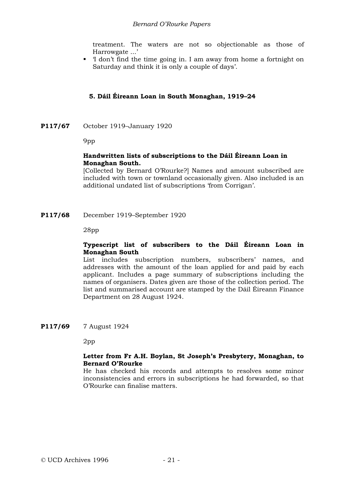treatment. The waters are not so objectionable as those of Harrowgate ...'

 'I don't find the time going in. I am away from home a fortnight on Saturday and think it is only a couple of days'.

### **5. Dáil Éireann Loan in South Monaghan, 1919–24**

**P117/67** October 1919–January 1920

9pp

### **Handwritten lists of subscriptions to the Dáil Éireann Loan in Monaghan South.**

[Collected by Bernard O'Rourke?] Names and amount subscribed are included with town or townland occasionally given. Also included is an additional undated list of subscriptions 'from Corrigan'.

**P117/68** December 1919–September 1920

28pp

### **Typescript list of subscribers to the Dáil Éireann Loan in Monaghan South**

List includes subscription numbers, subscribers' names, and addresses with the amount of the loan applied for and paid by each applicant. Includes a page summary of subscriptions including the names of organisers. Dates given are those of the collection period. The list and summarised account are stamped by the Dáil Éireann Finance Department on 28 August 1924.

### **P117/69** 7 August 1924

2pp

### **Letter from Fr A.H. Boylan, St Joseph's Presbytery, Monaghan, to Bernard O'Rourke**

He has checked his records and attempts to resolves some minor inconsistencies and errors in subscriptions he had forwarded, so that O'Rourke can finalise matters.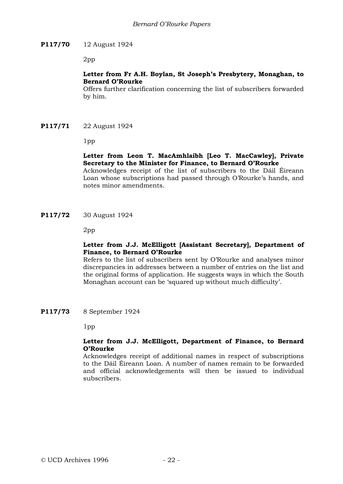### **P117/70** 12 August 1924

2pp

### **Letter from Fr A.H. Boylan, St Joseph's Presbytery, Monaghan, to Bernard O'Rourke**

Offers further clarification concerning the list of subscribers forwarded by him.

### **P117/71** 22 August 1924

1pp

### **Letter from Leon T. MacAmhlaibh [Leo T. MacCawley], Private Secretary to the Minister for Finance, to Bernard O'Rourke**

Acknowledges receipt of the list of subscribers to the Dáil Éireann Loan whose subscriptions had passed through O'Rourke's hands, and notes minor amendments.

**P117/72** 30 August 1924

2pp

### **Letter from J.J. McElligott [Assistant Secretary], Department of Finance, to Bernard O'Rourke**

Refers to the list of subscribers sent by O'Rourke and analyses minor discrepancies in addresses between a number of entries on the list and the original forms of application. He suggests ways in which the South Monaghan account can be 'squared up without much difficulty'.

**P117/73** 8 September 1924

1pp

### **Letter from J.J. McElligott, Department of Finance, to Bernard O'Rourke**

Acknowledges receipt of additional names in respect of subscriptions to the Dáil Éireann Loan. A number of names remain to be forwarded and official acknowledgements will then be issued to individual subscribers.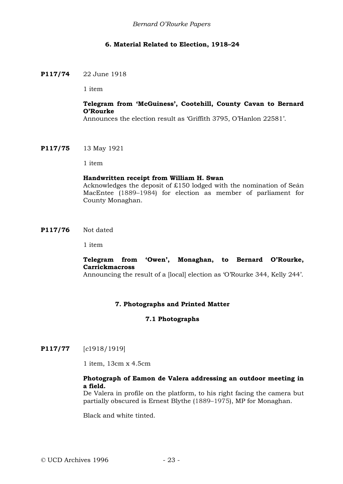### **6. Material Related to Election, 1918–24**

### **P117/74** 22 June 1918

1 item

### **Telegram from 'McGuiness', Cootehill, County Cavan to Bernard O'Rourke**

Announces the election result as 'Griffith 3795, O'Hanlon 22581'.

**P117/75** 13 May 1921

1 item

### **Handwritten receipt from William H. Swan**

Acknowledges the deposit of £150 lodged with the nomination of Seán MacEntee (1889–1984) for election as member of parliament for County Monaghan.

**P117/76** Not dated

1 item

### **Telegram from 'Owen', Monaghan, to Bernard O'Rourke, Carrickmacross**

Announcing the result of a [local] election as 'O'Rourke 344, Kelly 244'.

### **7. Photographs and Printed Matter**

### **7.1 Photographs**

**P117/77** [*c*1918/1919]

1 item, 13cm x 4.5cm

### **Photograph of Eamon de Valera addressing an outdoor meeting in a field.**

De Valera in profile on the platform, to his right facing the camera but partially obscured is Ernest Blythe (1889–1975), MP for Monaghan.

Black and white tinted.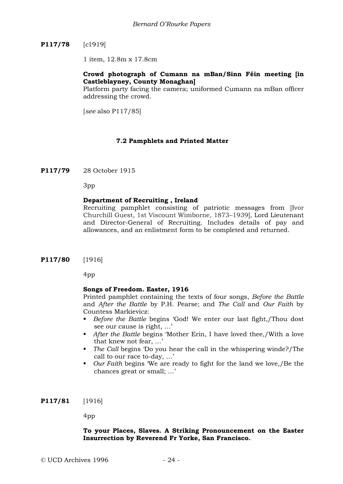## **P117/78** [*c*1919]

1 item, 12.8m x 17.8cm

### **Crowd photograph of Cumann na mBan/Sinn Féin meeting [in Castleblayney, County Monaghan]**

Platform party facing the camera; uniformed Cumann na mBan officer addressing the crowd.

[*see* also P117/85]

### **7.2 Pamphlets and Printed Matter**

**P117/79** 28 October 1915

3pp

### **Department of Recruiting , Ireland**

Recruiting pamphlet consisting of patriotic messages from [Ivor Churchill Guest, 1st Viscount Wimborne, 1873–1939], Lord Lieutenant and Director-General of Recruiting. Includes details of pay and allowances, and an enlistment form to be completed and returned.

**P117/80** [1916]

4pp

#### **Songs of Freedom. Easter, 1916**

Printed pamphlet containing the texts of four songs, *Before the Battle* and *After the Battle* by P.H. Pearse; and *The Call* and *Our Faith* by Countess Markievicz:

- *Before the Battle* begins 'God! We enter our last fight,/Thou dost see our cause is right, …'
- *After the Battle* begins 'Mother Erin, I have loved thee,/With a love that knew not fear, …'
- *The Call* begins 'Do you hear the call in the whispering winde?/The call to our race to-day, …'
- *Our Faith* begins 'We are ready to fight for the land we love,/Be the chances great or small; …'

**P117/81** [1916]

4pp

### **To your Places, Slaves. A Striking Pronouncement on the Easter Insurrection by Reverend Fr Yorke, San Francisco.**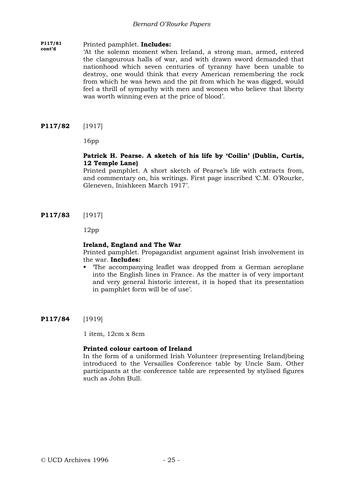#### **P117/81 cont'd** Printed pamphlet. **Includes:**

'At the solemn moment when Ireland, a strong man, armed, entered the clangourous halls of war, and with drawn sword demanded that nationhood which seven centuries of tyranny have been unable to destroy, one would think that every American remembering the rock from which he was hewn and the pit from which he was digged, would feel a thrill of sympathy with men and women who believe that liberty was worth winning even at the price of blood'.

**P117/82** [1917]

16pp

### **Patrick H. Pearse. A sketch of his life by 'Coilin' (Dublin, Curtis, 12 Temple Lane)**

Printed pamphlet. A short sketch of Pearse's life with extracts from, and commentary on, his writings. First page inscribed 'C.M. O'Rourke, Gleneven, Inishkeen March 1917'.

**P117/83** [1917]

12pp

### **Ireland, England and The War**

Printed pamphlet. Propagandist argument against Irish involvement in the war. **Includes:**

 'The accompanying leaflet was dropped from a German aeroplane into the English lines in France. As the matter is of very important and very general historic interest, it is hoped that its presentation in pamphlet form will be of use'.

**P117/84** [1919]

1 item, 12cm x 8cm

### **Printed colour cartoon of Ireland**

In the form of a uniformed Irish Volunteer (representing Ireland)being introduced to the Versailles Conference table by Uncle Sam. Other participants at the conference table are represented by stylised figures such as John Bull.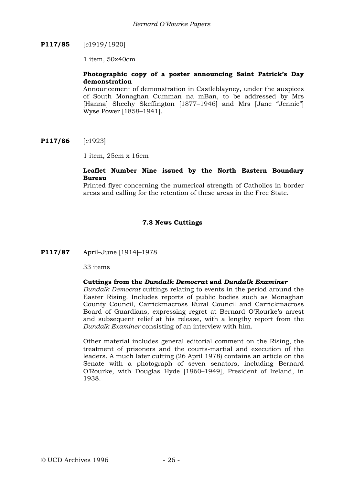## **P117/85** [*c*1919/1920]

1 item, 50x40cm

### **Photographic copy of a poster announcing Saint Patrick's Day demonstration**

Announcement of demonstration in Castleblayney, under the auspices of South Monaghan Cumman na mBan, to be addressed by Mrs [Hanna] Sheehy Skeffington [1877–1946] and Mrs [Jane "Jennie"] Wyse Power [1858–1941].

**P117/86** [*c*1923]

1 item, 25cm x 16cm

### **Leaflet Number Nine issued by the North Eastern Boundary Bureau**

Printed flyer concerning the numerical strength of Catholics in border areas and calling for the retention of these areas in the Free State.

### **7.3 News Cuttings**

**P117/87** April–June [1914]–1978

33 items

### **Cuttings from the** *Dundalk Democrat* **and** *Dundalk Examiner*

*Dundalk Democrat* cuttings relating to events in the period around the Easter Rising. Includes reports of public bodies such as Monaghan County Council, Carrickmacross Rural Council and Carrickmacross Board of Guardians, expressing regret at Bernard O'Rourke's arrest and subsequent relief at his release, with a lengthy report from the *Dundalk Examiner* consisting of an interview with him.

Other material includes general editorial comment on the Rising, the treatment of prisoners and the courts-martial and execution of the leaders. A much later cutting (26 April 1978) contains an article on the Senate with a photograph of seven senators, including Bernard O'Rourke, with Douglas Hyde [1860–1949], President of Ireland, in 1938.